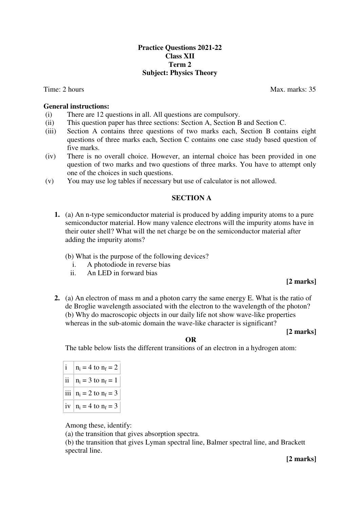# **Practice Questions 2021-22 Class XII Term 2 Subject: Physics Theory**

#### **General instructions:**

- (i) There are 12 questions in all. All questions are compulsory.
- (ii) This question paper has three sections: Section A, Section B and Section C.
- (iii) Section A contains three questions of two marks each, Section B contains eight questions of three marks each, Section C contains one case study based question of five marks.
- (iv) There is no overall choice. However, an internal choice has been provided in one question of two marks and two questions of three marks. You have to attempt only one of the choices in such questions.
- (v) You may use log tables if necessary but use of calculator is not allowed.

# **SECTION A**

- **1.** (a) An n-type semiconductor material is produced by adding impurity atoms to a pure semiconductor material. How many valence electrons will the impurity atoms have in their outer shell? What will the net charge be on the semiconductor material after adding the impurity atoms?
	- (b) What is the purpose of the following devices?
		- i. A photodiode in reverse bias
		- ii. An LED in forward bias

# **[2 marks]**

**2.** (a) An electron of mass m and a photon carry the same energy E. What is the ratio of de Broglie wavelength associated with the electron to the wavelength of the photon? (b) Why do macroscopic objects in our daily life not show wave-like properties whereas in the sub-atomic domain the wave-like character is significant?

#### **[2 marks]**

#### **OR**

The table below lists the different transitions of an electron in a hydrogen atom:

|    | $n_i = 4$ to $n_f = 2$     |
|----|----------------------------|
| 11 | $n_i = 3$ to $n_f = 1$     |
|    | iii $n_i = 2$ to $n_f = 3$ |
|    | iv $ n_i = 4$ to $n_f = 3$ |

Among these, identify:

(a) the transition that gives absorption spectra.

(b) the transition that gives Lyman spectral line, Balmer spectral line, and Brackett spectral line.

**[2 marks]**

#### Time: 2 hours Max. marks: 35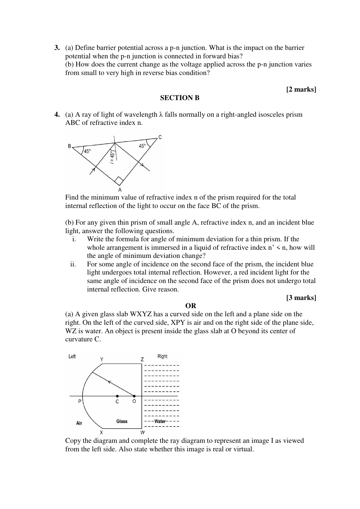**3.** (a) Define barrier potential across a p-n junction. What is the impact on the barrier potential when the p-n junction is connected in forward bias? (b) How does the current change as the voltage applied across the p-n junction varies from small to very high in reverse bias condition?

# **[2 marks]**

**[3 marks]**

### **SECTION B**

**4.** (a) A ray of light of wavelength λ falls normally on a right-angled isosceles prism ABC of refractive index n.



Find the minimum value of refractive index n of the prism required for the total internal reflection of the light to occur on the face BC of the prism.

(b) For any given thin prism of small angle A, refractive index n, and an incident blue light, answer the following questions.

- i. Write the formula for angle of minimum deviation for a thin prism. If the whole arrangement is immersed in a liquid of refractive index  $n' \leq n$ , how will the angle of minimum deviation change?
- ii. For some angle of incidence on the second face of the prism, the incident blue light undergoes total internal reflection. However, a red incident light for the same angle of incidence on the second face of the prism does not undergo total internal reflection. Give reason.

(a) A given glass slab WXYZ has a curved side on the left and a plane side on the right. On the left of the curved side, XPY is air and on the right side of the plane side, WZ is water. An object is present inside the glass slab at O beyond its center of curvature C.

**OR**



Copy the diagram and complete the ray diagram to represent an image I as viewed from the left side. Also state whether this image is real or virtual.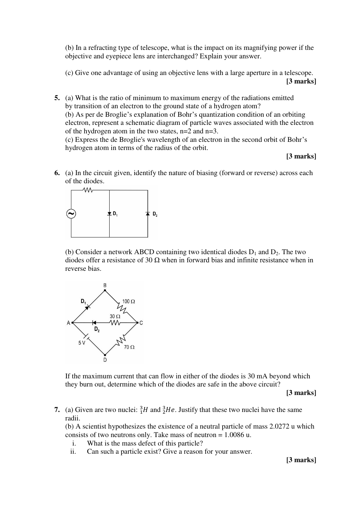(b) In a refracting type of telescope, what is the impact on its magnifying power if the objective and eyepiece lens are interchanged? Explain your answer.

- (c) Give one advantage of using an objective lens with a large aperture in a telescope. **[3 marks]**
- **5.** (a) What is the ratio of minimum to maximum energy of the radiations emitted by transition of an electron to the ground state of a hydrogen atom? (b) As per de Broglie's explanation of Bohr's quantization condition of an orbiting electron, represent a schematic diagram of particle waves associated with the electron of the hydrogen atom in the two states, n=2 and n=3. (c) Express the de Broglie's wavelength of an electron in the second orbit of Bohr's hydrogen atom in terms of the radius of the orbit.

#### **[3 marks]**

**6.** (a) In the circuit given, identify the nature of biasing (forward or reverse) across each of the diodes.



(b) Consider a network ABCD containing two identical diodes  $D_1$  and  $D_2$ . The two diodes offer a resistance of 30  $\Omega$  when in forward bias and infinite resistance when in reverse bias.



If the maximum current that can flow in either of the diodes is 30 mA beyond which they burn out, determine which of the diodes are safe in the above circuit?

**[3 marks]** 

**7.** (a) Given are two nuclei:  ${}_{1}^{3}H$  and  ${}_{2}^{3}He$ . Justify that these two nuclei have the same radii.

(b) A scientist hypothesizes the existence of a neutral particle of mass 2.0272 u which consists of two neutrons only. Take mass of neutron = 1.0086 u.

- i. What is the mass defect of this particle?
- ii. Can such a particle exist? Give a reason for your answer.

 **[3 marks]**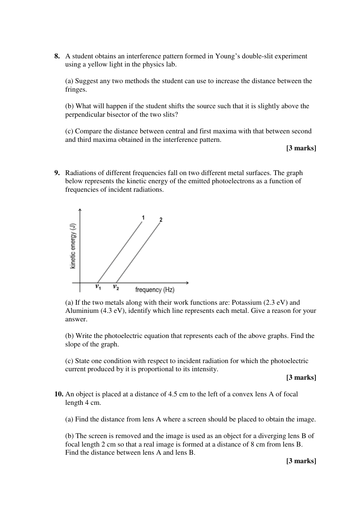**8.** A student obtains an interference pattern formed in Young's double-slit experiment using a yellow light in the physics lab.

(a) Suggest any two methods the student can use to increase the distance between the fringes.

(b) What will happen if the student shifts the source such that it is slightly above the perpendicular bisector of the two slits?

(c) Compare the distance between central and first maxima with that between second and third maxima obtained in the interference pattern.

**[3 marks]** 

**9.** Radiations of different frequencies fall on two different metal surfaces. The graph below represents the kinetic energy of the emitted photoelectrons as a function of frequencies of incident radiations.



(a) If the two metals along with their work functions are: Potassium (2.3 eV) and Aluminium (4.3 eV), identify which line represents each metal. Give a reason for your answer.

(b) Write the photoelectric equation that represents each of the above graphs. Find the slope of the graph.

(c) State one condition with respect to incident radiation for which the photoelectric current produced by it is proportional to its intensity.

**[3 marks]** 

**10.** An object is placed at a distance of 4.5 cm to the left of a convex lens A of focal length 4 cm.

(a) Find the distance from lens A where a screen should be placed to obtain the image.

(b) The screen is removed and the image is used as an object for a diverging lens B of focal length 2 cm so that a real image is formed at a distance of 8 cm from lens B. Find the distance between lens A and lens B.

**[3 marks]**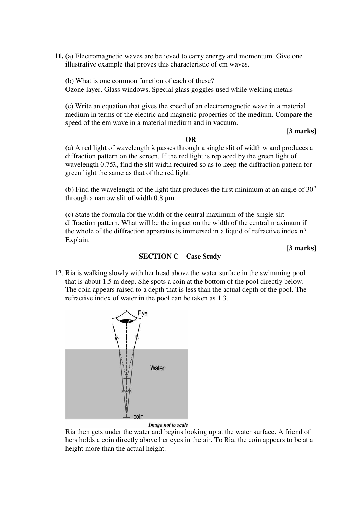**11.** (a) Electromagnetic waves are believed to carry energy and momentum. Give one illustrative example that proves this characteristic of em waves.

(b) What is one common function of each of these? Ozone layer, Glass windows, Special glass goggles used while welding metals

(c) Write an equation that gives the speed of an electromagnetic wave in a material medium in terms of the electric and magnetic properties of the medium. Compare the speed of the em wave in a material medium and in vacuum.

#### **[3 marks]**

#### **OR**

(a) A red light of wavelength  $\lambda$  passes through a single slit of width w and produces a diffraction pattern on the screen. If the red light is replaced by the green light of wavelength 0.75λ, find the slit width required so as to keep the diffraction pattern for green light the same as that of the red light.

(b) Find the wavelength of the light that produces the first minimum at an angle of  $30^{\circ}$ through a narrow slit of width 0.8 μm.

(c) State the formula for the width of the central maximum of the single slit diffraction pattern. What will be the impact on the width of the central maximum if the whole of the diffraction apparatus is immersed in a liquid of refractive index n? Explain.

**[3 marks]** 

# **SECTION C – Case Study**

12. Ria is walking slowly with her head above the water surface in the swimming pool that is about 1.5 m deep. She spots a coin at the bottom of the pool directly below. The coin appears raised to a depth that is less than the actual depth of the pool. The refractive index of water in the pool can be taken as 1.3.



#### Image not to scale

Ria then gets under the water and begins looking up at the water surface. A friend of hers holds a coin directly above her eyes in the air. To Ria, the coin appears to be at a height more than the actual height.